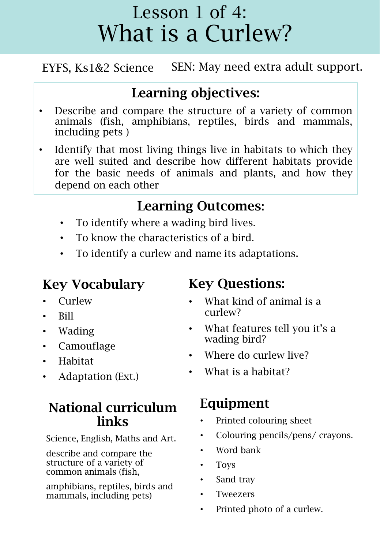EYFS, Ks1&2 Science SEN: May need extra adult support.

#### Learning objectives:

- Describe and compare the structure of a variety of common animals (fish, amphibians, reptiles, birds and mammals, including pets )
- Identify that most living things live in habitats to which they are well suited and describe how different habitats provide for the basic needs of animals and plants, and how they depend on each other

#### Learning Outcomes:

- To identify where a wading bird lives.
- To know the characteristics of a bird.
- To identify a curlew and name its adaptations.

#### Key Vocabulary

- Curlew
- Bill
- Wading
- Camouflage
- Habitat
- Adaptation (Ext.)

#### National curriculum links

Science, English, Maths and Art.

describe and compare the structure of a variety of common animals (fish,

amphibians, reptiles, birds and mammals, including pets)

#### Key Questions:

- What kind of animal is a curlew?
- What features tell you it's a wading bird?
- Where do curlew live?
- What is a habitat?

#### Equipment

- Printed colouring sheet
- Colouring pencils/pens/ crayons.
- Word bank
- Toys
- Sand tray
- **Tweezers**
- Printed photo of a curlew.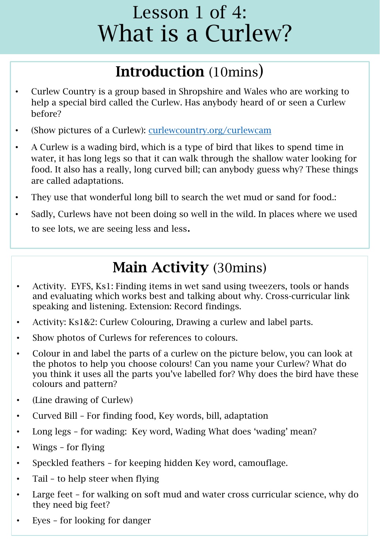### Introduction (10mins)

- Curlew Country is a group based in Shropshire and Wales who are working to help a special bird called the Curlew. Has anybody heard of or seen a Curlew before?
- (Show pictures of a Curlew): [curlewcountry.org/curlewcam](https://curlewcountry.org/curlewcam)
- A Curlew is a wading bird, which is a type of bird that likes to spend time in water, it has long legs so that it can walk through the shallow water looking for food. It also has a really, long curved bill; can anybody guess why? These things are called adaptations.
- They use that wonderful long bill to search the wet mud or sand for food.:
- Sadly, Curlews have not been doing so well in the wild. In places where we used to see lots, we are seeing less and less.

### Main Activity (30mins)

- Activity. EYFS, Ks1: Finding items in wet sand using tweezers, tools or hands and evaluating which works best and talking about why. Cross-curricular link speaking and listening. Extension: Record findings.
- Activity: Ks1&2: Curlew Colouring, Drawing a curlew and label parts.
- Show photos of Curlews for references to colours.
- Colour in and label the parts of a curlew on the picture below, you can look at the photos to help you choose colours! Can you name your Curlew? What do you think it uses all the parts you've labelled for? Why does the bird have these colours and pattern?
- (Line drawing of Curlew)
- Curved Bill For finding food, Key words, bill, adaptation
- Long legs for wading: Key word, Wading What does 'wading' mean?
- Wings for flying
- Speckled feathers for keeping hidden Key word, camouflage.
- Tail to help steer when flying
- Large feet for walking on soft mud and water cross curricular science, why do they need big feet?
- Eyes for looking for danger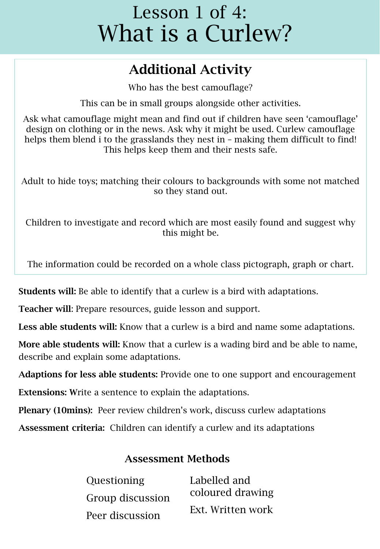#### Additional Activity

Who has the best camouflage?

This can be in small groups alongside other activities.

Ask what camouflage might mean and find out if children have seen 'camouflage' design on clothing or in the news. Ask why it might be used. Curlew camouflage helps them blend i to the grasslands they nest in  $-$  making them difficult to find! This helps keep them and their nests safe.

Adult to hide toys; matching their colours to backgrounds with some not matched so they stand out.

Children to investigate and record which are most easily found and suggest why this might be.

The information could be recorded on a whole class pictograph, graph or chart.

Students will: Be able to identify that a curlew is a bird with adaptations.

Teacher will: Prepare resources, guide lesson and support.

Less able students will: Know that a curlew is a bird and name some adaptations.

More able students will: Know that a curlew is a wading bird and be able to name, describe and explain some adaptations.

Adaptions for less able students: Provide one to one support and encouragement

Extensions: Write a sentence to explain the adaptations.

Plenary (10mins): Peer review children's work, discuss curlew adaptations

Assessment criteria: Children can identify a curlew and its adaptations

#### Assessment Methods

| <b>Questioning</b>                  | Labelled and      |
|-------------------------------------|-------------------|
| Group discussion<br>Peer discussion | coloured drawing  |
|                                     | Ext. Written work |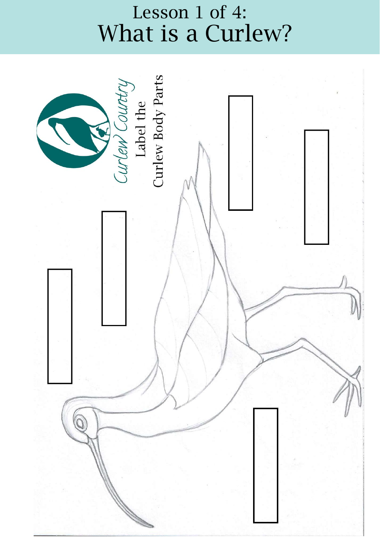